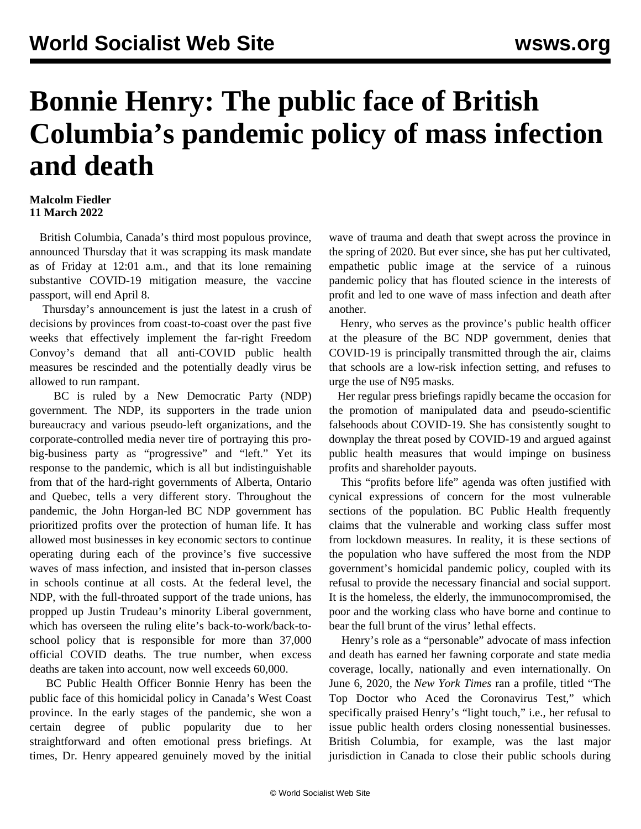## **Bonnie Henry: The public face of British Columbia's pandemic policy of mass infection and death**

## **Malcolm Fiedler 11 March 2022**

 British Columbia, Canada's third most populous province, announced Thursday that it was scrapping its mask mandate as of Friday at 12:01 a.m., and that its lone remaining substantive COVID-19 mitigation measure, the vaccine passport, will end April 8.

 Thursday's announcement is just the latest in a crush of decisions by provinces from coast-to-coast over the past five weeks that effectively implement the far-right Freedom Convoy's demand that all anti-COVID public health measures be rescinded and the potentially deadly virus be allowed to run rampant.

 BC is ruled by a New Democratic Party (NDP) government. The NDP, its supporters in the trade union bureaucracy and various pseudo-left organizations, and the corporate-controlled media never tire of portraying this probig-business party as "progressive" and "left." Yet its response to the pandemic, which is all but indistinguishable from that of the hard-right governments of Alberta, Ontario and Quebec, tells a very different story. Throughout the pandemic, the John Horgan-led BC NDP government has prioritized profits over the protection of human life. It has allowed most businesses in key economic sectors to continue operating during each of the province's five successive waves of mass infection, and insisted that in-person classes in schools continue at all costs. At the federal level, the NDP, with the full-throated support of the trade unions, has propped up Justin Trudeau's minority Liberal government, which has overseen the ruling elite's back-to-work/back-toschool policy that is responsible for more than 37,000 official COVID deaths. The true number, when excess deaths are taken into account, now well exceeds 60,000.

 BC Public Health Officer Bonnie Henry has been the public face of this homicidal policy in Canada's West Coast province. In the early stages of the pandemic, she won a certain degree of public popularity due to her straightforward and often emotional press briefings. At times, Dr. Henry appeared genuinely moved by the initial wave of trauma and death that swept across the province in the spring of 2020. But ever since, she has put her cultivated, empathetic public image at the service of a ruinous pandemic policy that has flouted science in the interests of profit and led to one wave of mass infection and death after another.

 Henry, who serves as the province's public health officer at the pleasure of the BC NDP government, denies that COVID-19 is principally transmitted through the air, claims that schools are a low-risk infection setting, and refuses to urge the use of N95 masks.

 Her regular press briefings rapidly became the occasion for the promotion of manipulated data and pseudo-scientific falsehoods about COVID-19. She has consistently sought to downplay the threat posed by COVID-19 and argued against public health measures that would impinge on business profits and shareholder payouts.

 This "profits before life" agenda was often justified with cynical expressions of concern for the most vulnerable sections of the population. BC Public Health frequently claims that the vulnerable and working class suffer most from lockdown measures. In reality, it is these sections of the population who have suffered the most from the NDP government's homicidal pandemic policy, coupled with its refusal to provide the necessary financial and social support. It is the homeless, the elderly, the immunocompromised, the poor and the working class who have borne and continue to bear the full brunt of the virus' lethal effects.

 Henry's role as a "personable" advocate of mass infection and death has earned her fawning corporate and state media coverage, locally, nationally and even internationally. On June 6, 2020, the *New York Times* ran a profile, titled "The Top Doctor who Aced the Coronavirus Test," which specifically praised Henry's "light touch," i.e., her refusal to issue public health orders closing nonessential businesses. British Columbia, for example, was the last major jurisdiction in Canada to close their public schools during